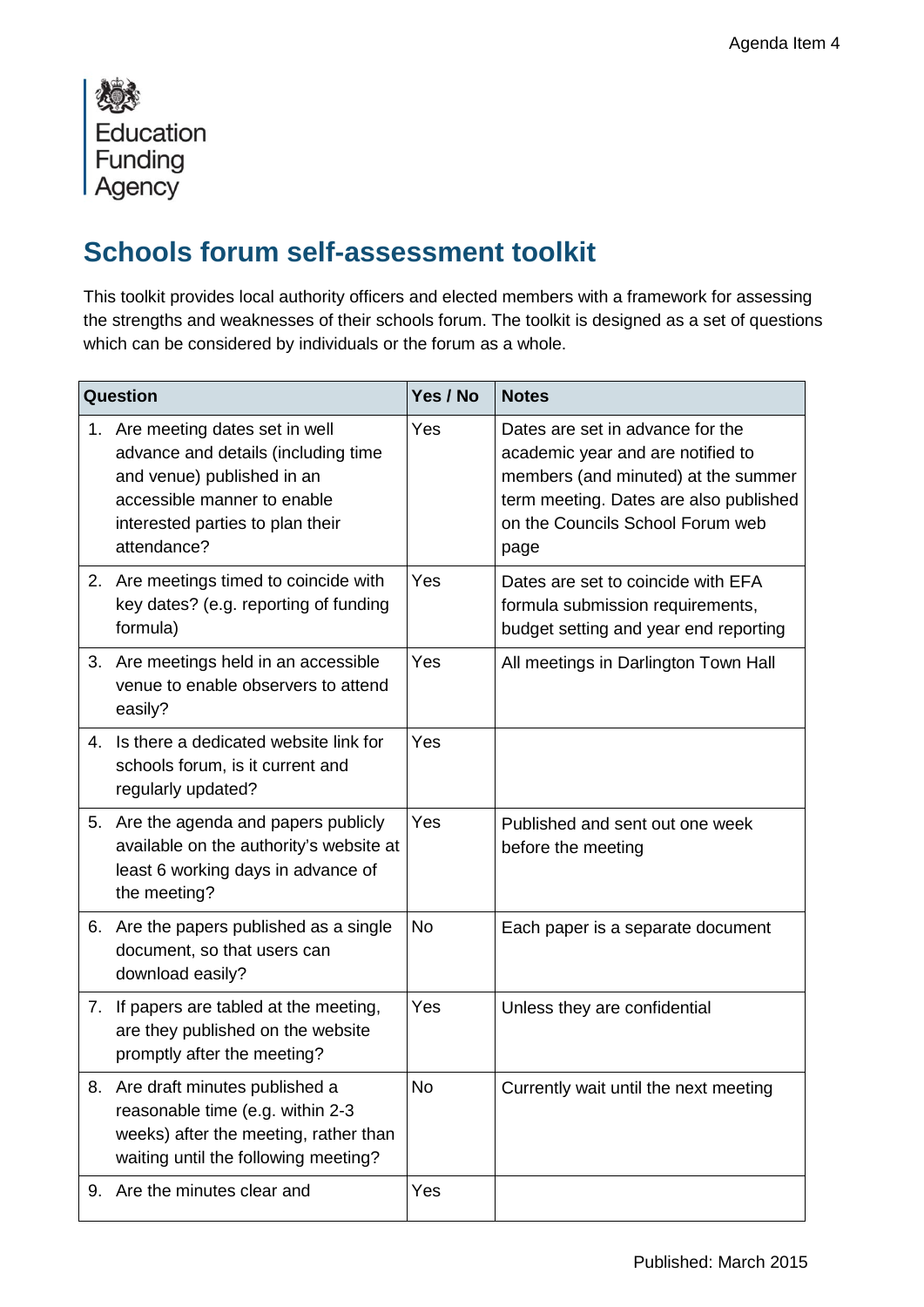

## **Schools forum self-assessment toolkit**

This toolkit provides local authority officers and elected members with a framework for assessing the strengths and weaknesses of their schools forum. The toolkit is designed as a set of questions which can be considered by individuals or the forum as a whole.

| Question |                                                                                                                                                                                         | Yes / No  | <b>Notes</b>                                                                                                                                                                                       |
|----------|-----------------------------------------------------------------------------------------------------------------------------------------------------------------------------------------|-----------|----------------------------------------------------------------------------------------------------------------------------------------------------------------------------------------------------|
|          | 1. Are meeting dates set in well<br>advance and details (including time<br>and venue) published in an<br>accessible manner to enable<br>interested parties to plan their<br>attendance? | Yes       | Dates are set in advance for the<br>academic year and are notified to<br>members (and minuted) at the summer<br>term meeting. Dates are also published<br>on the Councils School Forum web<br>page |
| 2.       | Are meetings timed to coincide with<br>key dates? (e.g. reporting of funding<br>formula)                                                                                                | Yes       | Dates are set to coincide with EFA<br>formula submission requirements,<br>budget setting and year end reporting                                                                                    |
| 3.       | Are meetings held in an accessible<br>venue to enable observers to attend<br>easily?                                                                                                    | Yes       | All meetings in Darlington Town Hall                                                                                                                                                               |
| 4.       | Is there a dedicated website link for<br>schools forum, is it current and<br>regularly updated?                                                                                         | Yes       |                                                                                                                                                                                                    |
| 5.       | Are the agenda and papers publicly<br>available on the authority's website at<br>least 6 working days in advance of<br>the meeting?                                                     | Yes       | Published and sent out one week<br>before the meeting                                                                                                                                              |
|          | 6. Are the papers published as a single<br>document, so that users can<br>download easily?                                                                                              | <b>No</b> | Each paper is a separate document                                                                                                                                                                  |
| 7.       | If papers are tabled at the meeting,<br>are they published on the website<br>promptly after the meeting?                                                                                | Yes       | Unless they are confidential                                                                                                                                                                       |
|          | 8. Are draft minutes published a<br>reasonable time (e.g. within 2-3<br>weeks) after the meeting, rather than<br>waiting until the following meeting?                                   | No        | Currently wait until the next meeting                                                                                                                                                              |
| 9.       | Are the minutes clear and                                                                                                                                                               | Yes       |                                                                                                                                                                                                    |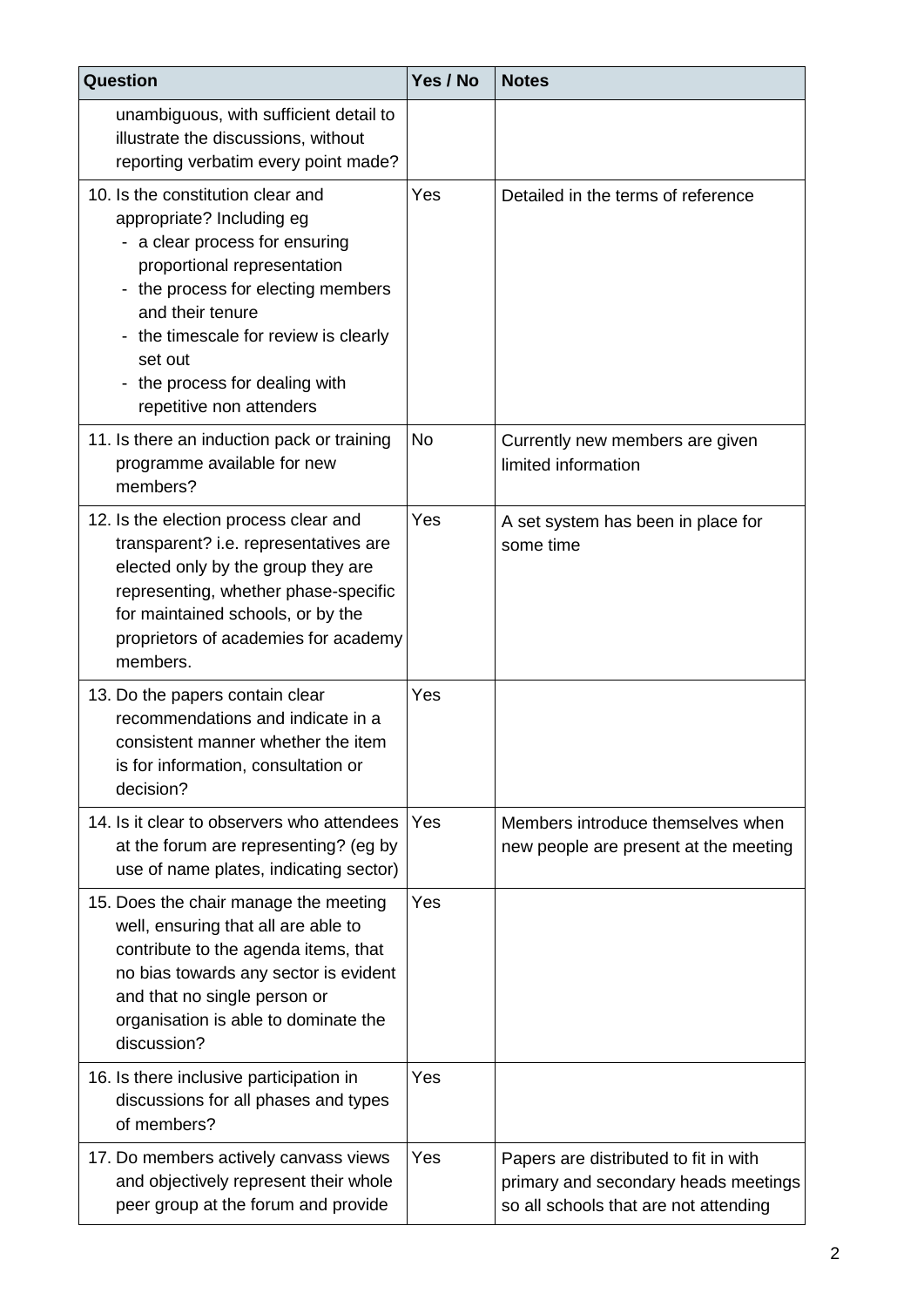| Question                                                                                                                                                                                                                                                                                                    | Yes / No  | <b>Notes</b>                                                                                                           |
|-------------------------------------------------------------------------------------------------------------------------------------------------------------------------------------------------------------------------------------------------------------------------------------------------------------|-----------|------------------------------------------------------------------------------------------------------------------------|
| unambiguous, with sufficient detail to<br>illustrate the discussions, without<br>reporting verbatim every point made?                                                                                                                                                                                       |           |                                                                                                                        |
| 10. Is the constitution clear and<br>appropriate? Including eg<br>- a clear process for ensuring<br>proportional representation<br>- the process for electing members<br>and their tenure<br>- the timescale for review is clearly<br>set out<br>- the process for dealing with<br>repetitive non attenders | Yes       | Detailed in the terms of reference                                                                                     |
| 11. Is there an induction pack or training<br>programme available for new<br>members?                                                                                                                                                                                                                       | <b>No</b> | Currently new members are given<br>limited information                                                                 |
| 12. Is the election process clear and<br>transparent? i.e. representatives are<br>elected only by the group they are<br>representing, whether phase-specific<br>for maintained schools, or by the<br>proprietors of academies for academy<br>members.                                                       | Yes       | A set system has been in place for<br>some time                                                                        |
| 13. Do the papers contain clear<br>recommendations and indicate in a<br>consistent manner whether the item<br>is for information, consultation or<br>decision?                                                                                                                                              | Yes       |                                                                                                                        |
| 14. Is it clear to observers who attendees<br>at the forum are representing? (eg by<br>use of name plates, indicating sector)                                                                                                                                                                               | Yes       | Members introduce themselves when<br>new people are present at the meeting                                             |
| 15. Does the chair manage the meeting<br>well, ensuring that all are able to<br>contribute to the agenda items, that<br>no bias towards any sector is evident<br>and that no single person or<br>organisation is able to dominate the<br>discussion?                                                        | Yes       |                                                                                                                        |
| 16. Is there inclusive participation in<br>discussions for all phases and types<br>of members?                                                                                                                                                                                                              | Yes       |                                                                                                                        |
| 17. Do members actively canvass views<br>and objectively represent their whole<br>peer group at the forum and provide                                                                                                                                                                                       | Yes       | Papers are distributed to fit in with<br>primary and secondary heads meetings<br>so all schools that are not attending |